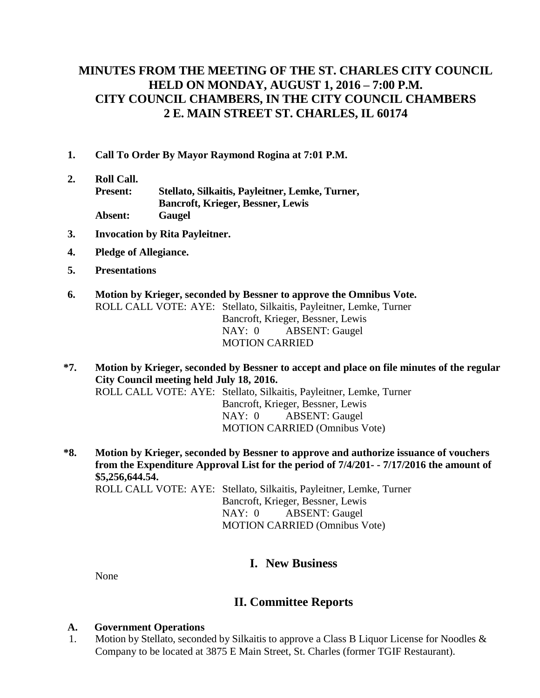# **MINUTES FROM THE MEETING OF THE ST. CHARLES CITY COUNCIL HELD ON MONDAY, AUGUST 1, 2016 – 7:00 P.M. CITY COUNCIL CHAMBERS, IN THE CITY COUNCIL CHAMBERS 2 E. MAIN STREET ST. CHARLES, IL 60174**

- **1. Call To Order By Mayor Raymond Rogina at 7:01 P.M.**
- **2. Roll Call. Present: Stellato, Silkaitis, Payleitner, Lemke, Turner, Bancroft, Krieger, Bessner, Lewis Absent: Gaugel**
- **3. Invocation by Rita Payleitner.**
- **4. Pledge of Allegiance.**
- **5. Presentations**
- **6. Motion by Krieger, seconded by Bessner to approve the Omnibus Vote.** ROLL CALL VOTE: AYE: Stellato, Silkaitis, Payleitner, Lemke, Turner Bancroft, Krieger, Bessner, Lewis NAY: 0 ABSENT: Gaugel MOTION CARRIED
- **\*7. Motion by Krieger, seconded by Bessner to accept and place on file minutes of the regular City Council meeting held July 18, 2016.**

ROLL CALL VOTE: AYE: Stellato, Silkaitis, Payleitner, Lemke, Turner Bancroft, Krieger, Bessner, Lewis NAY: 0 ABSENT: Gaugel MOTION CARRIED (Omnibus Vote)

**\*8. Motion by Krieger, seconded by Bessner to approve and authorize issuance of vouchers from the Expenditure Approval List for the period of 7/4/201- - 7/17/2016 the amount of \$5,256,644.54.** ROLL CALL VOTE: AYE: Stellato, Silkaitis, Payleitner, Lemke, Turner

Bancroft, Krieger, Bessner, Lewis NAY: 0 ABSENT: Gaugel MOTION CARRIED (Omnibus Vote)

## **I. New Business**

None

## **II. Committee Reports**

### **A. Government Operations**

 1. Motion by Stellato, seconded by Silkaitis to approve a Class B Liquor License for Noodles & Company to be located at 3875 E Main Street, St. Charles (former TGIF Restaurant).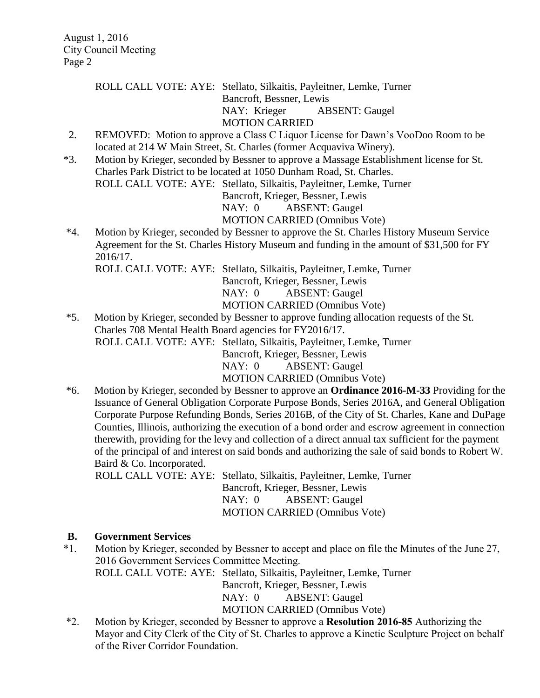ROLL CALL VOTE: AYE: Stellato, Silkaitis, Payleitner, Lemke, Turner Bancroft, Bessner, Lewis

NAY: Krieger ABSENT: Gaugel

MOTION CARRIED

- 2. REMOVED: Motion to approve a Class C Liquor License for Dawn's VooDoo Room to be located at 214 W Main Street, St. Charles (former Acquaviva Winery).
- \*3. Motion by Krieger, seconded by Bessner to approve a Massage Establishment license for St. Charles Park District to be located at 1050 Dunham Road, St. Charles. ROLL CALL VOTE: AYE: Stellato, Silkaitis, Payleitner, Lemke, Turner

Bancroft, Krieger, Bessner, Lewis

NAY: 0 ABSENT: Gaugel

MOTION CARRIED (Omnibus Vote)

\*4. Motion by Krieger, seconded by Bessner to approve the St. Charles History Museum Service Agreement for the St. Charles History Museum and funding in the amount of \$31,500 for FY 2016/17.

ROLL CALL VOTE: AYE: Stellato, Silkaitis, Payleitner, Lemke, Turner

Bancroft, Krieger, Bessner, Lewis

NAY: 0 ABSENT: Gaugel

- MOTION CARRIED (Omnibus Vote)
- \*5. Motion by Krieger, seconded by Bessner to approve funding allocation requests of the St. Charles 708 Mental Health Board agencies for FY2016/17. ROLL CALL VOTE: AYE: Stellato, Silkaitis, Payleitner, Lemke, Turner Bancroft, Krieger, Bessner, Lewis NAY: 0 ABSENT: Gaugel

MOTION CARRIED (Omnibus Vote)

\*6. Motion by Krieger, seconded by Bessner to approve an **Ordinance 2016-M-33** Providing for the Issuance of General Obligation Corporate Purpose Bonds, Series 2016A, and General Obligation Corporate Purpose Refunding Bonds, Series 2016B, of the City of St. Charles, Kane and DuPage Counties, Illinois, authorizing the execution of a bond order and escrow agreement in connection therewith, providing for the levy and collection of a direct annual tax sufficient for the payment of the principal of and interest on said bonds and authorizing the sale of said bonds to Robert W. Baird & Co. Incorporated.

ROLL CALL VOTE: AYE: Stellato, Silkaitis, Payleitner, Lemke, Turner Bancroft, Krieger, Bessner, Lewis NAY: 0 ABSENT: Gaugel MOTION CARRIED (Omnibus Vote)

### **B. Government Services**

\*1. Motion by Krieger, seconded by Bessner to accept and place on file the Minutes of the June 27, 2016 Government Services Committee Meeting. ROLL CALL VOTE: AYE: Stellato, Silkaitis, Payleitner, Lemke, Turner

Bancroft, Krieger, Bessner, Lewis NAY: 0 ABSENT: Gaugel

MOTION CARRIED (Omnibus Vote)

\*2. Motion by Krieger, seconded by Bessner to approve a **Resolution 2016-85** Authorizing the Mayor and City Clerk of the City of St. Charles to approve a Kinetic Sculpture Project on behalf of the River Corridor Foundation.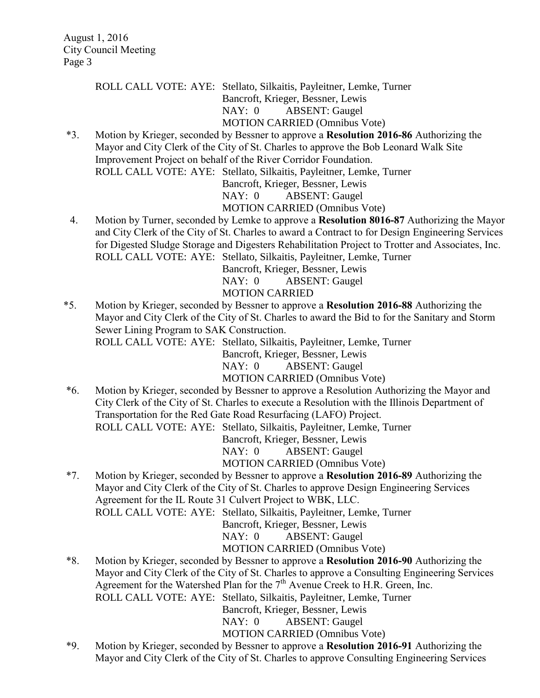ROLL CALL VOTE: AYE: Stellato, Silkaitis, Payleitner, Lemke, Turner Bancroft, Krieger, Bessner, Lewis NAY: 0 ABSENT: Gaugel MOTION CARRIED (Omnibus Vote)

\*3. Motion by Krieger, seconded by Bessner to approve a **Resolution 2016-86** Authorizing the Mayor and City Clerk of the City of St. Charles to approve the Bob Leonard Walk Site Improvement Project on behalf of the River Corridor Foundation. ROLL CALL VOTE: AYE: Stellato, Silkaitis, Payleitner, Lemke, Turner

Bancroft, Krieger, Bessner, Lewis

NAY: 0 ABSENT: Gaugel

MOTION CARRIED (Omnibus Vote)

4. Motion by Turner, seconded by Lemke to approve a **Resolution 8016-87** Authorizing the Mayor and City Clerk of the City of St. Charles to award a Contract to for Design Engineering Services for Digested Sludge Storage and Digesters Rehabilitation Project to Trotter and Associates, Inc. ROLL CALL VOTE: AYE: Stellato, Silkaitis, Payleitner, Lemke, Turner

Bancroft, Krieger, Bessner, Lewis

NAY: 0 ABSENT: Gaugel

#### MOTION CARRIED

\*5. Motion by Krieger, seconded by Bessner to approve a **Resolution 2016-88** Authorizing the Mayor and City Clerk of the City of St. Charles to award the Bid to for the Sanitary and Storm Sewer Lining Program to SAK Construction.

ROLL CALL VOTE: AYE: Stellato, Silkaitis, Payleitner, Lemke, Turner

Bancroft, Krieger, Bessner, Lewis

NAY: 0 ABSENT: Gaugel

MOTION CARRIED (Omnibus Vote)

\*6. Motion by Krieger, seconded by Bessner to approve a Resolution Authorizing the Mayor and City Clerk of the City of St. Charles to execute a Resolution with the Illinois Department of Transportation for the Red Gate Road Resurfacing (LAFO) Project. ROLL CALL VOTE: AYE: Stellato, Silkaitis, Payleitner, Lemke, Turner

Bancroft, Krieger, Bessner, Lewis

NAY: 0 ABSENT: Gaugel

MOTION CARRIED (Omnibus Vote)

\*7. Motion by Krieger, seconded by Bessner to approve a **Resolution 2016-89** Authorizing the Mayor and City Clerk of the City of St. Charles to approve Design Engineering Services Agreement for the IL Route 31 Culvert Project to WBK, LLC.

ROLL CALL VOTE: AYE: Stellato, Silkaitis, Payleitner, Lemke, Turner

Bancroft, Krieger, Bessner, Lewis

NAY: 0 ABSENT: Gaugel

MOTION CARRIED (Omnibus Vote)

\*8. Motion by Krieger, seconded by Bessner to approve a **Resolution 2016-90** Authorizing the Mayor and City Clerk of the City of St. Charles to approve a Consulting Engineering Services Agreement for the Watershed Plan for the  $7<sup>th</sup>$  Avenue Creek to H.R. Green, Inc. ROLL CALL VOTE: AYE: Stellato, Silkaitis, Payleitner, Lemke, Turner Bancroft, Krieger, Bessner, Lewis NAY: 0 ABSENT: Gaugel

MOTION CARRIED (Omnibus Vote)

\*9. Motion by Krieger, seconded by Bessner to approve a **Resolution 2016-91** Authorizing the Mayor and City Clerk of the City of St. Charles to approve Consulting Engineering Services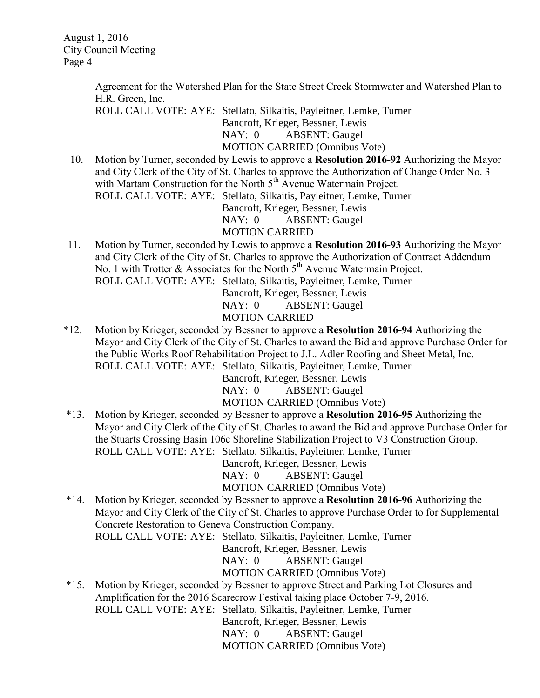August 1, 2016 City Council Meeting Page 4

> Agreement for the Watershed Plan for the State Street Creek Stormwater and Watershed Plan to H.R. Green, Inc.

ROLL CALL VOTE: AYE: Stellato, Silkaitis, Payleitner, Lemke, Turner

Bancroft, Krieger, Bessner, Lewis

NAY: 0 ABSENT: Gaugel

MOTION CARRIED (Omnibus Vote)

10. Motion by Turner, seconded by Lewis to approve a **Resolution 2016-92** Authorizing the Mayor and City Clerk of the City of St. Charles to approve the Authorization of Change Order No. 3 with Martam Construction for the North  $5<sup>th</sup>$  Avenue Watermain Project. ROLL CALL VOTE: AYE: Stellato, Silkaitis, Payleitner, Lemke, Turner

Bancroft, Krieger, Bessner, Lewis

NAY: 0 ABSENT: Gaugel

### MOTION CARRIED

11. Motion by Turner, seconded by Lewis to approve a **Resolution 2016-93** Authorizing the Mayor and City Clerk of the City of St. Charles to approve the Authorization of Contract Addendum No. 1 with Trotter  $\&$  Associates for the North  $5<sup>th</sup>$  Avenue Watermain Project. ROLL CALL VOTE: AYE: Stellato, Silkaitis, Payleitner, Lemke, Turner

Bancroft, Krieger, Bessner, Lewis NAY: 0 ABSENT: Gaugel MOTION CARRIED

\*12. Motion by Krieger, seconded by Bessner to approve a **Resolution 2016-94** Authorizing the Mayor and City Clerk of the City of St. Charles to award the Bid and approve Purchase Order for the Public Works Roof Rehabilitation Project to J.L. Adler Roofing and Sheet Metal, Inc. ROLL CALL VOTE: AYE: Stellato, Silkaitis, Payleitner, Lemke, Turner

Bancroft, Krieger, Bessner, Lewis

NAY: 0 ABSENT: Gaugel

MOTION CARRIED (Omnibus Vote)

\*13. Motion by Krieger, seconded by Bessner to approve a **Resolution 2016-95** Authorizing the Mayor and City Clerk of the City of St. Charles to award the Bid and approve Purchase Order for the Stuarts Crossing Basin 106c Shoreline Stabilization Project to V3 Construction Group. ROLL CALL VOTE: AYE: Stellato, Silkaitis, Payleitner, Lemke, Turner

Bancroft, Krieger, Bessner, Lewis

NAY: 0 ABSENT: Gaugel

MOTION CARRIED (Omnibus Vote)

\*14. Motion by Krieger, seconded by Bessner to approve a **Resolution 2016-96** Authorizing the Mayor and City Clerk of the City of St. Charles to approve Purchase Order to for Supplemental Concrete Restoration to Geneva Construction Company.

ROLL CALL VOTE: AYE: Stellato, Silkaitis, Payleitner, Lemke, Turner

Bancroft, Krieger, Bessner, Lewis

NAY: 0 ABSENT: Gaugel

MOTION CARRIED (Omnibus Vote)

\*15. Motion by Krieger, seconded by Bessner to approve Street and Parking Lot Closures and Amplification for the 2016 Scarecrow Festival taking place October 7-9, 2016. ROLL CALL VOTE: AYE: Stellato, Silkaitis, Payleitner, Lemke, Turner Bancroft, Krieger, Bessner, Lewis

NAY: 0 ABSENT: Gaugel

MOTION CARRIED (Omnibus Vote)